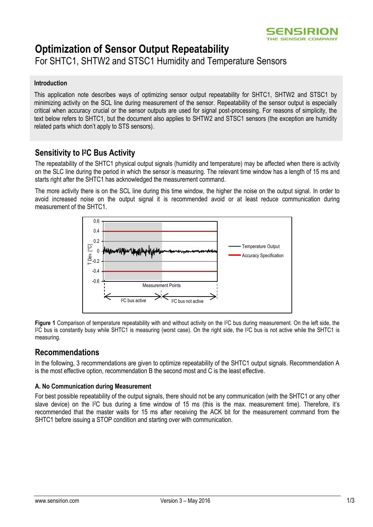

# **Optimization of Sensor Output Repeatability**

For SHTC1, SHTW2 and STSC1 Humidity and Temperature Sensors

#### **Introduction**

This application note describes ways of optimizing sensor output repeatability for SHTC1, SHTW2 and STSC1 by minimizing activity on the SCL line during measurement of the sensor. Repeatability of the sensor output is especially critical when accuracy crucial or the sensor outputs are used for signal post-processing. For reasons of simplicity, the text below refers to SHTC1, but the document also applies to SHTW2 and STSC1 sensors (the exception are humidity related parts which don't apply to STS sensors).

## **Sensitivity to I <sup>2</sup>C Bus Activity**

The repeatability of the SHTC1 physical output signals (humidity and temperature) may be affected when there is activity on the SLC line during the period in which the sensor is measuring. The relevant time window has a length of 15 ms and starts right after the SHTC1 has acknowledged the measurement command.

The more activity there is on the SCL line during this time window, the higher the noise on the output signal. In order to avoid increased noise on the output signal it is recommended avoid or at least reduce communication during measurement of the SHTC1.



**Figure 1** Comparison of temperature repeatability with and without activity on the I2C bus during measurement. On the left side, the I <sup>2</sup>C bus is constantly busy while SHTC1 is measuring (worst case). On the right side, the I2C bus is not active while the SHTC1 is measuring.

## **Recommendations**

In the following, 3 recommendations are given to optimize repeatability of the SHTC1 output signals. Recommendation A is the most effective option, recommendation B the second most and C is the least effective.

#### **A. No Communication during Measurement**

For best possible repeatability of the output signals, there should not be any communication (with the SHTC1 or any other slave device) on the I2C bus during a time window of 15 ms (this is the max. measurement time). Therefore, it's recommended that the master waits for 15 ms after receiving the ACK bit for the measurement command from the SHTC1 before issuing a STOP condition and starting over with communication.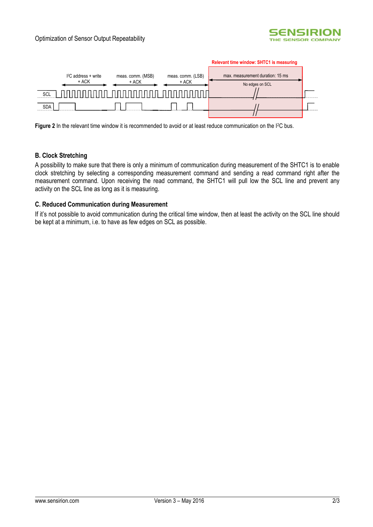



Figure 2 In the relevant time window it is recommended to avoid or at least reduce communication on the I<sup>2</sup>C bus.

### **B. Clock Stretching**

A possibility to make sure that there is only a minimum of communication during measurement of the SHTC1 is to enable clock stretching by selecting a corresponding measurement command and sending a read command right after the measurement command. Upon receiving the read command, the SHTC1 will pull low the SCL line and prevent any activity on the SCL line as long as it is measuring.

#### **C. Reduced Communication during Measurement**

If it's not possible to avoid communication during the critical time window, then at least the activity on the SCL line should be kept at a minimum, i.e. to have as few edges on SCL as possible.